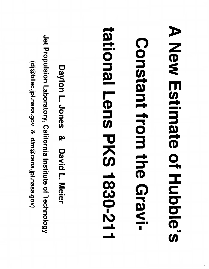## **P** *c*  (D *0 <sup>0</sup>***2**  (D *rc*  **3 n Constant from the Gravi-9)** rn r **v) <sup>L</sup>**(D *<sup>0</sup> 0 <sup>C</sup>***v) 9) Iate**  $\frac{1}{2}$  **b**<br>  $\frac{1}{2}$  **c** (D .. *<sup>E</sup>*r **L 1[= I.**<br>iit *C in*   $\sum_{\substack{a \text{ odd}}}$ **ubble**<br> **Gravi-21**<br> **S30-21**<br> **v**<br> **discripality** שי<br>פ *ca 0 1*   $\breve{\le}$ **U L v)**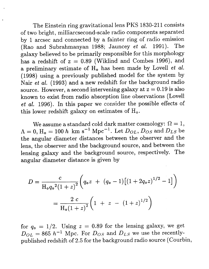The Einstein ring gravitational lens PKS 1830-211 consists of two bright, milliarcsecond-scale radio components separated by 1 arcsec and connected by a fainter ring of radio emission (Rao and Subrahmanyan 1988; Jauncey *et al.* 1991). The galaxy believed to be primarily responsible for this morphology has a redshift of  $z = 0.89$  (Wiklind and Combes 1996), and a preliminary estimate of H<sub>o</sub> has been made by Lovell *et al.* (1998) using a previously published model for the system by Nair *et al.* (1993) and a new redshift for the background radio source. However, a second intervening galaxy at  $z = 0.19$  is also known to exist from radio absorption line observations (Lovell *et al.* 1996). In this paper we consider the possible effects of this lower redshift galaxy on estimates of  $H_{\circ}$ .

We assume a standard cold dark matter cosmology:  $\Omega = 1$ ,  $\Lambda = 0,$   $H_o = 100$  *h* km s<sup>-1</sup> Mpc<sup>-1</sup>. Let  $D_{OL},$   $D_{OS}$  and  $D_{LS}$  be the angular diameter distances between the observer and the lens, the observer and the background source, and between the lensing galaxy and the background source, respectively. The angular diameter distance is given by

$$
D = \frac{c}{\mathrm{H}_{\circ}q_{\circ}^{2}(1+z)^{2}} \left( q_{\circ}z + (q_{\circ}-1)\left[ (1+2q_{\circ}z)^{1/2} - 1 \right] \right)
$$
  
= 
$$
\frac{2 c}{\mathrm{H}_{\circ}(1+z)^{2}} \left( 1 + z - (1+z)^{1/2} \right)
$$

for  $q_0 = 1/2$ . Using  $z = 0.89$  for the lensing galaxy, we get  $D_{OL} = 865 h^{-1}$  Mpc. For  $D_{OS}$  and  $D_{LS}$  we use the recentlypublished redshift of 2.5 for the background radio source (Courbin,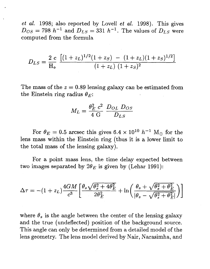*et al.* 1998; also reported by Lovell *et al.* 1998). This gives  $D_{OS} = 798 h^{-1}$  and  $D_{LS} = 331 h^{-1}$ . The values of  $D_{LS}$  were computed from the formula

$$
D_{LS} = \frac{2 c}{H_o} \frac{\left[ (1 + z_L)^{1/2} (1 + z_S) - (1 + z_L)(1 + z_S)^{1/2} \right]}{(1 + z_L) (1 + z_S)^2}
$$

The mass of the  $z = 0.89$  lensing galaxy can be estimated from the Einstein ring radius  $\theta_E$ :

$$
M_L = \frac{\theta_E^2 c^2}{4 \text{ G}} \frac{D_{OL} D_{OS}}{D_{LS}}
$$

For  $\theta_E = 0.5$  arcsec this gives  $6.4 \times 10^{10} h^{-1}$  M<sub>o</sub> for the lens mass within the Einstein ring (thus it is a lower limit to the total mass of the lensing galaxy).

For a point mass lens, the time delay expected between two images separated by  $2\theta_E$  is given by (Lehar 1991):

$$
\Delta\tau = -(1+z_L)\frac{4GM}{c^3}\bigg[\frac{\theta_s\sqrt{\theta_s^2+4\theta_E^2}}{2\theta_E^2}+\ln\bigg(\frac{\theta_s+\sqrt{\theta_s^2+\theta_E^2}}{|\theta_s-\sqrt{\theta_s^2+\theta_E^2}|}\bigg)\bigg]
$$

where  $\theta_s$  is the angle between the center of the lensing galaxy and the true (undeflected) position of the background source. This angle can only be determined from a detailed model of the lens geometry. The lens model derived by Nair, Narasimha, and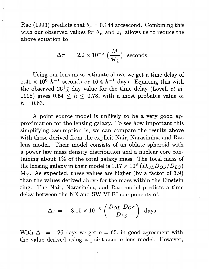Rao (1993) predicts that  $\theta_s = 0.144$  arcsecond. Combining this with our observed values for  $\theta_E$  and  $z_L$  allows us to reduce the above equation to

,

$$
\Delta \tau \ = \ 2.2 \times 10^{-5} \ \big( \frac{M}{M_{\odot}} \big) \ \ \hbox{seconds.}
$$

Using our lens mass estimate above we get a time delay of  $1.41 \times 10^6$   $h^{-1}$  seconds or 16.4  $h^{-1}$  days. Equating this with the observed  $26^{+4}_{-5}$  day value for the time delay (Lovell *et al.* 1998) gives  $0.54 \leq h \leq 0.78$ , with a most probable value of  $h = 0.63$ .

**A** point source model is unlikely to be a very good approximation for the lensing galaxy. To see how important this simplifying assumption is, we can compare the results above with those derived from the explicit Nair, Narasimha, and Rao lens model. Their model consists of an oblate spheroid with a power law mass density distribution and a nuclear core containing about 1% of the total galaxy mass. The total mass of the lensing galaxy in their model is  $1.17 \times 10^8$  *(D<sub>OL</sub>D<sub>OS</sub>/D<sub>LS</sub>)*  $M_{\odot}$ . As expected, these values are higher (by a factor of 3.9) than the values derived above for the mass within the Einstein ring. The Nair, Narasimha, and Rao model predicts a time delay between the NE and SW VLBI components of:

$$
\Delta \tau = -8.15 \times 10^{-3} \left( \frac{D_{OL} D_{OS}}{D_{LS}} \right) \text{ days}
$$

With  $\Delta \tau = -26$  days we get  $h = 65$ , in good agreement with the value derived using a point source lens model. However,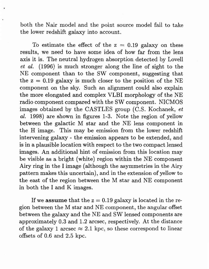both the Nair model and the point source model fail to take the lower redshift galaxy into account.

To estimate the effect of the  $z = 0.19$  galaxy on these results, we need to have some idea of how far from the lens axis it is. The neutral hydrogen absorption detected by Lovell *et al.* (1996) is much stronger along the line of sight to the NE component than to the SW component, suggesting that the  $z = 0.19$  galaxy is much closer to the position of the NE component on the sky. Such an alignment could also explain the more elongated and complex VLBI morphology of the NE radio component compared with the SW component. NICMOS images obtained by the CASTLES group (C.S. Kochanek, *et al.* 1998) are shown in figures 1-3. Note the region of yellow between the galactic M star and the NE lens component in the H image. This may be emission from the lower redshift intervening galaxy - the emission appears to be extended, and is in a plausible location with respect to the two compact lensed images. An additional hint of emission from this location may be visible as **a** bright (white) region within the NE component Airy ring in the I image (although the asymmetries in the Airy pattern makes this uncertain), and in the extension of yellow to the east of the region between the M star and NE component in both the I and K images.

If we **assume** that the  $z = 0.19$  galaxy is located in the region between the M star and NE component, the angular offset between the galaxy and the NE and SW lensed components are approximately 0.3 and 1.2 arcsec, respectively. At the distance of the galaxy 1 arcsec  $\approx 2.1$  kpc, so these correspond to linear offsets of 0.6 and **2.5** kpc.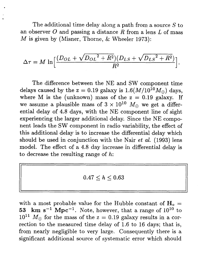The additional time delay along a path from a source *S* to an observer *0* and passing a distance *R* from a lens *L* of mass *M* is given by (Misner, Thorne, & Wheeler 1973):

$$
\Delta \tau = M \, \ln \Bigl[ \frac{(D_{OL} + \sqrt{D_{OL}^2 + R^2}) (D_{LS} + \sqrt{D_{LS}^2 + R^2})}{R^2} \Bigr].
$$

The difference between the NE and SW component time delays caused by the  $z = 0.19$  galaxy is  $1.6(M/10^{10}M_{\odot})$  days, where M is the (unknown) mass of the  $z = 0.19$  galaxy. If we assume a plausible mass of  $3 \times 10^{10}$   $M_{\odot}$  we get a differential delay of **4.8** days, with the NE component line of sight experiencing the larger additional delay. Since the NE component leads the SW component in radio variability, the effect of this additional delay is to increase the differential delay which should be used in conjunction with the Nair *et al.* (1993) lens model. The effect of a **4.8** day increase in differential delay is to decrease the resulting range of *h:* 

$$
0.47 \leq h \leq 0.63
$$

with a most probable value for the Hubble constant of  $H_0 =$ **53** km  $s^{-1}$  Mpc<sup>-1</sup>. Note, however, that a range of  $10^{10}$  to  $10^{11}$   $M_{\odot}$  for the mass of the  $z = 0.19$  galaxy results in a correction to the measured time delay of 1.6 to 16 days; that is, from nearly negligible to very large. Consequently there is a significant additional source of systematic error which should